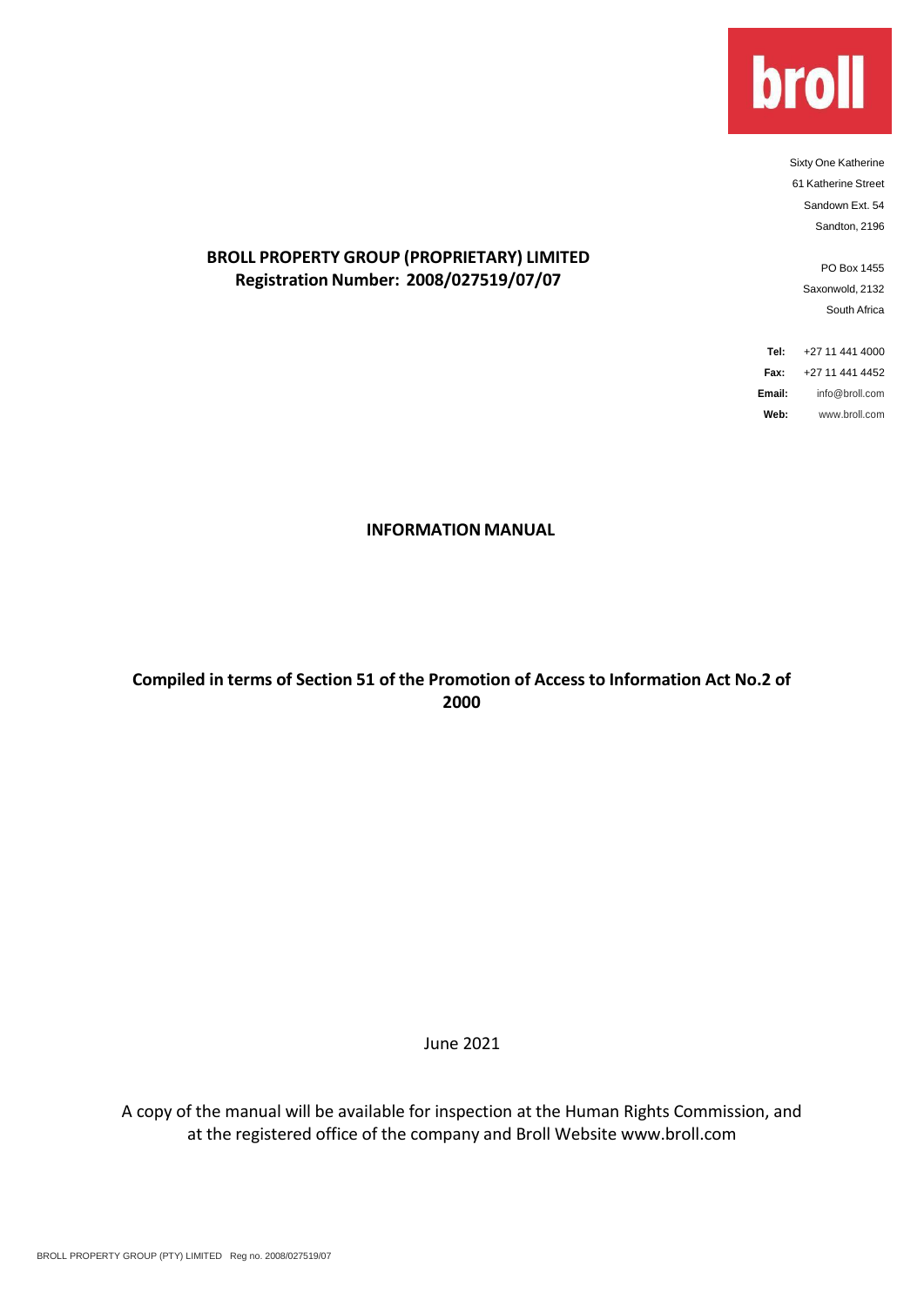

Sixty One Katherine 61 Katherine Street Sandown Ext. 54 Sandton, 2196

> PO Box 1455 Saxonwold, 2132 South Africa

**Tel:** +27 11 441 4000 **Fax:** +27 11 441 4452 **Email:** [info@broll.com](mailto:info@broll.com) **Web:** [www.broll.com](http://www.broll.com/)

# **BROLL PROPERTY GROUP (PROPRIETARY) LIMITED Registration Number: 2008/027519/07/07**

#### **INFORMATION MANUAL**

# **Compiled in terms of Section 51 of the Promotion of Access to Information Act No.2 of 2000**

June 2021

A copy of the manual will be available for inspection at the Human Rights Commission, and at the registered office of the company and Broll Website www.broll.com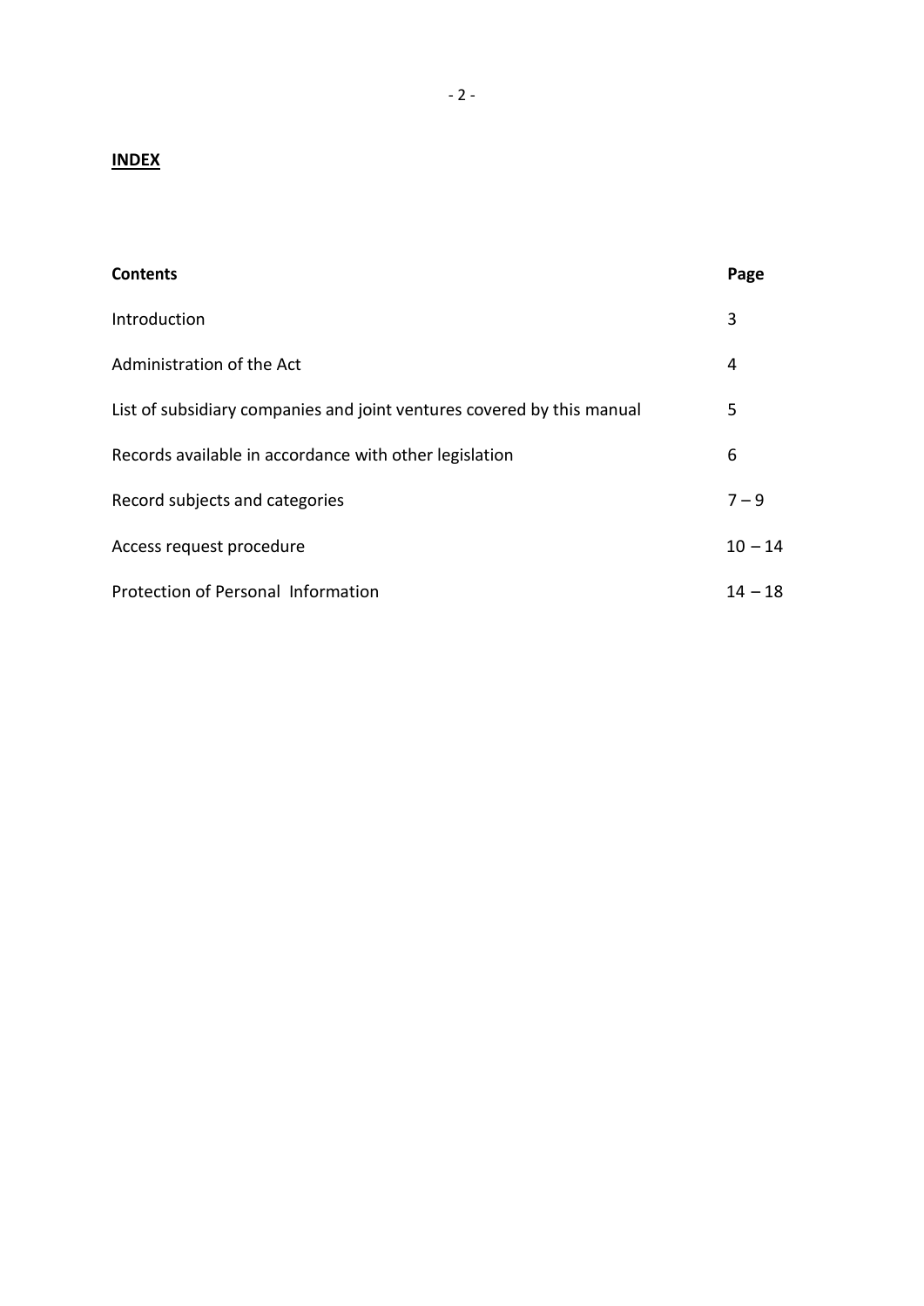# **INDEX**

| <b>Contents</b>                                                        | Page      |
|------------------------------------------------------------------------|-----------|
| Introduction                                                           | 3         |
| Administration of the Act                                              | 4         |
| List of subsidiary companies and joint ventures covered by this manual | 5         |
| Records available in accordance with other legislation                 | 6         |
| Record subjects and categories                                         | $7 - 9$   |
| Access request procedure                                               | $10 - 14$ |
| Protection of Personal Information                                     | $14 - 18$ |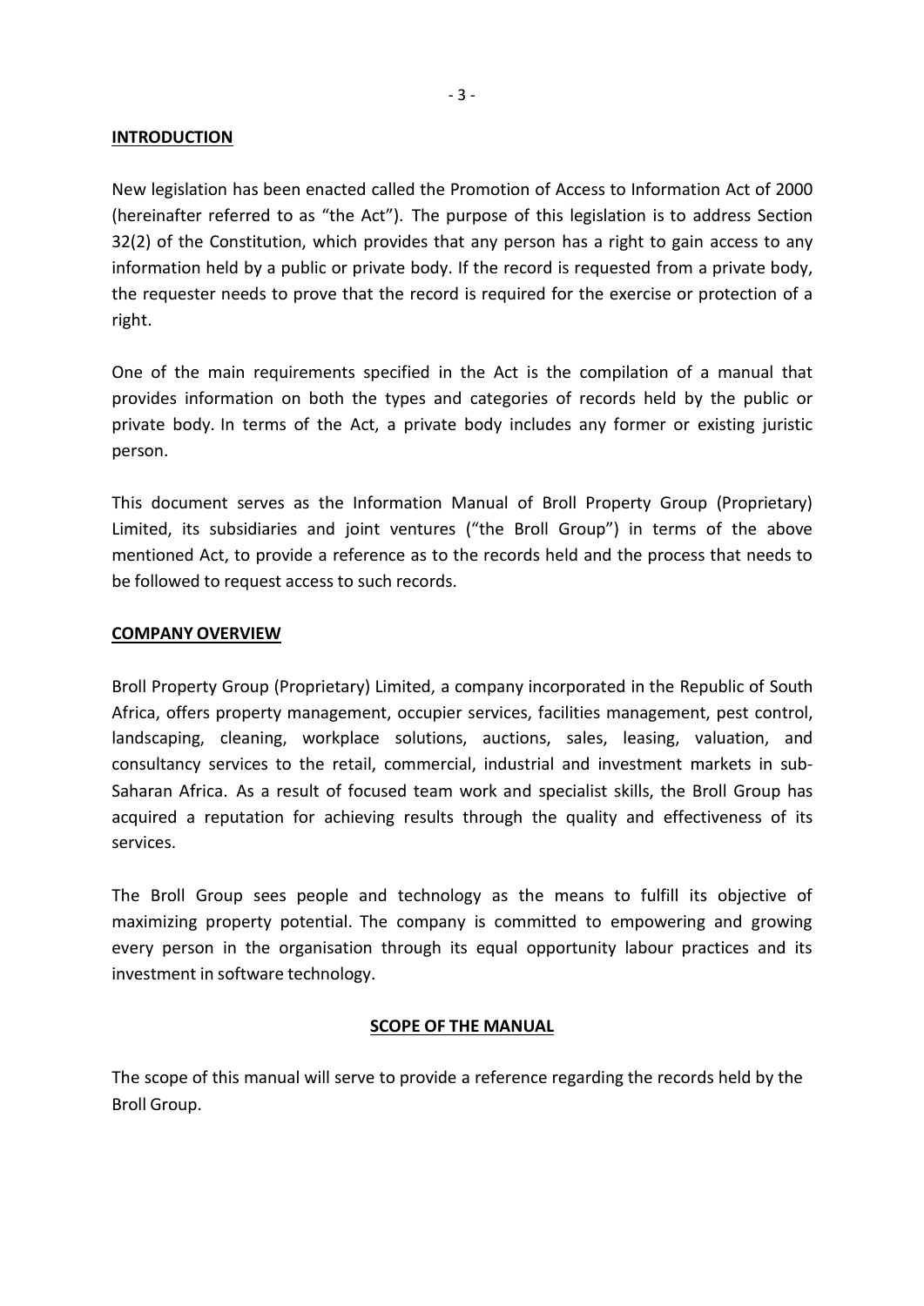#### **INTRODUCTION**

New legislation has been enacted called the Promotion of Access to Information Act of 2000 (hereinafter referred to as "the Act"). The purpose of this legislation is to address Section 32(2) of the Constitution, which provides that any person has a right to gain access to any information held by a public or private body. If the record is requested from a private body, the requester needs to prove that the record is required for the exercise or protection of a right.

One of the main requirements specified in the Act is the compilation of a manual that provides information on both the types and categories of records held by the public or private body. In terms of the Act, a private body includes any former or existing juristic person.

This document serves as the Information Manual of Broll Property Group (Proprietary) Limited, its subsidiaries and joint ventures ("the Broll Group") in terms of the above mentioned Act, to provide a reference as to the records held and the process that needs to be followed to request access to such records.

#### **COMPANY OVERVIEW**

Broll Property Group (Proprietary) Limited, a company incorporated in the Republic of South Africa, offers property management, occupier services, facilities management, pest control, landscaping, cleaning, workplace solutions, auctions, sales, leasing, valuation, and consultancy services to the retail, commercial, industrial and investment markets in sub-Saharan Africa. As a result of focused team work and specialist skills, the Broll Group has acquired a reputation for achieving results through the quality and effectiveness of its services.

The Broll Group sees people and technology as the means to fulfill its objective of maximizing property potential. The company is committed to empowering and growing every person in the organisation through its equal opportunity labour practices and its investment in software technology.

#### **SCOPE OF THE MANUAL**

The scope of this manual will serve to provide a reference regarding the records held by the Broll Group.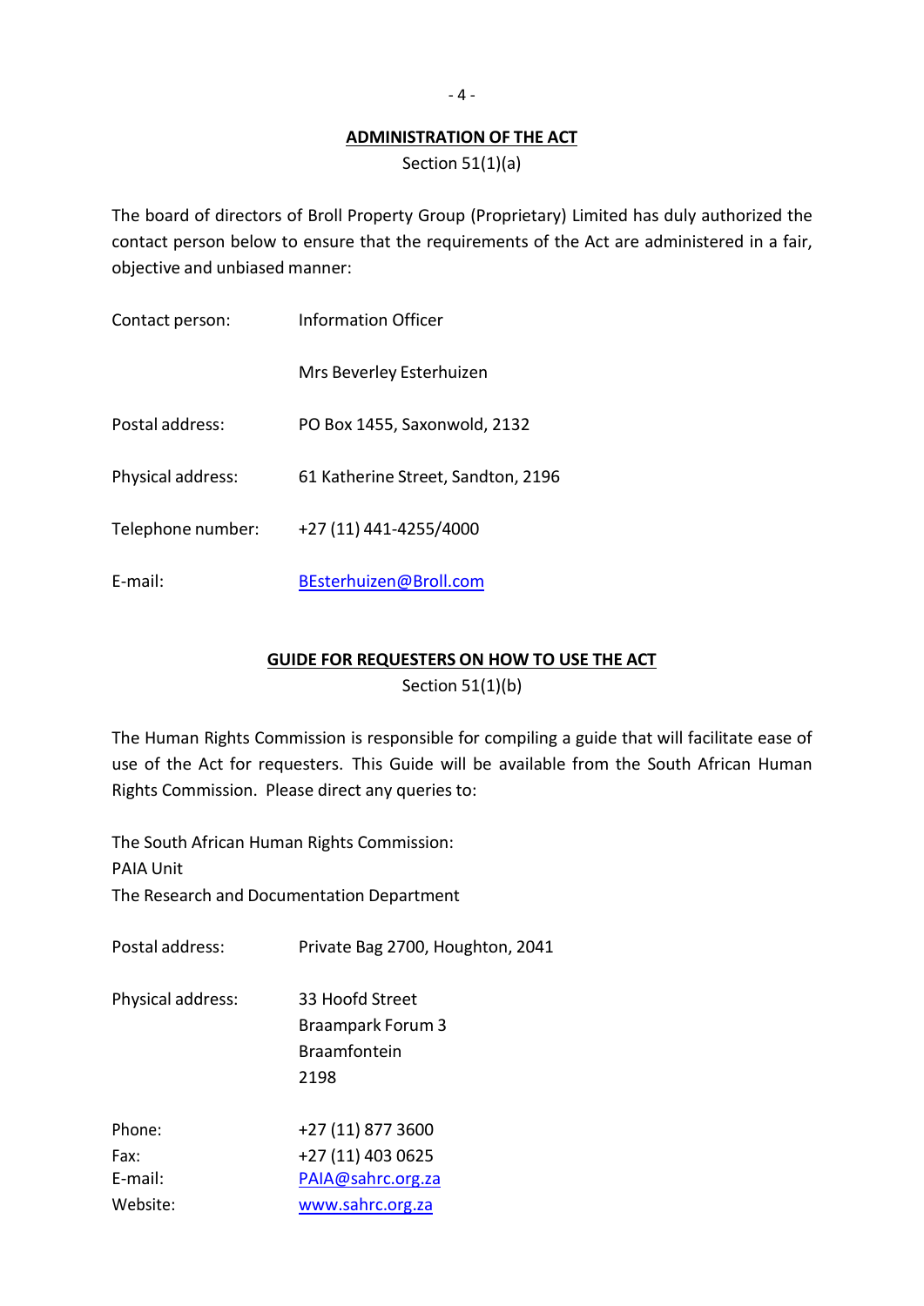## **ADMINISTRATION OF THE ACT**

Section 51(1)(a)

The board of directors of Broll Property Group (Proprietary) Limited has duly authorized the contact person below to ensure that the requirements of the Act are administered in a fair, objective and unbiased manner:

| Contact person:   | Information Officer                |
|-------------------|------------------------------------|
|                   | Mrs Beverley Esterhuizen           |
| Postal address:   | PO Box 1455, Saxonwold, 2132       |
| Physical address: | 61 Katherine Street, Sandton, 2196 |
| Telephone number: | +27 (11) 441-4255/4000             |
| E-mail:           | BEsterhuizen@Broll.com             |

## **GUIDE FOR REQUESTERS ON HOW TO USE THE ACT**

Section 51(1)(b)

The Human Rights Commission is responsible for compiling a guide that will facilitate ease of use of the Act for requesters. This Guide will be available from the South African Human Rights Commission. Please direct any queries to:

The South African Human Rights Commission:

PAIA Unit

The Research and Documentation Department

Postal address: Private Bag 2700, Houghton, 2041

Physical address: 33 Hoofd Street Braampark Forum 3 Braamfontein 2198

| Phone:   | +27 (11) 877 3600 |
|----------|-------------------|
| Fax:     | +27 (11) 403 0625 |
| E-mail:  | PAIA@sahrc.org.za |
| Website: | www.sahrc.org.za  |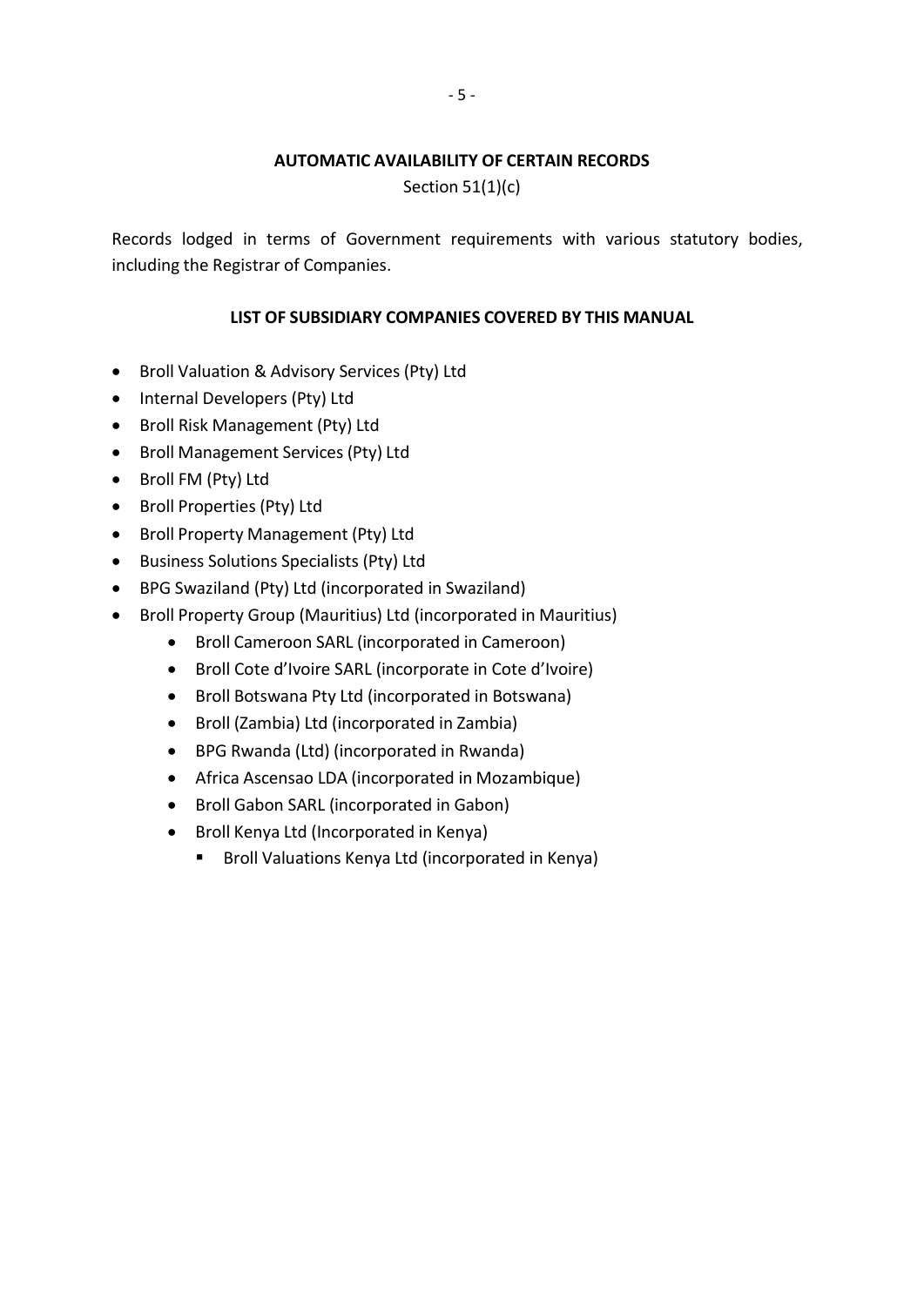## **AUTOMATIC AVAILABILITY OF CERTAIN RECORDS**

Section 51(1)(c)

Records lodged in terms of Government requirements with various statutory bodies, including the Registrar of Companies.

## **LIST OF SUBSIDIARY COMPANIES COVERED BY THIS MANUAL**

- Broll Valuation & Advisory Services (Pty) Ltd
- Internal Developers (Pty) Ltd
- Broll Risk Management (Pty) Ltd
- Broll Management Services (Pty) Ltd
- Broll FM (Pty) Ltd
- Broll Properties (Pty) Ltd
- Broll Property Management (Pty) Ltd
- **•** Business Solutions Specialists (Pty) Ltd
- BPG Swaziland (Pty) Ltd (incorporated in Swaziland)
- Broll Property Group (Mauritius) Ltd (incorporated in Mauritius)
	- Broll Cameroon SARL (incorporated in Cameroon)
	- Broll Cote d'Ivoire SARL (incorporate in Cote d'Ivoire)
	- Broll Botswana Pty Ltd (incorporated in Botswana)
	- Broll (Zambia) Ltd (incorporated in Zambia)
	- BPG Rwanda (Ltd) (incorporated in Rwanda)
	- Africa Ascensao LDA (incorporated in Mozambique)
	- Broll Gabon SARL (incorporated in Gabon)
	- Broll Kenya Ltd (Incorporated in Kenya)
		- **Broll Valuations Kenya Ltd (incorporated in Kenya)**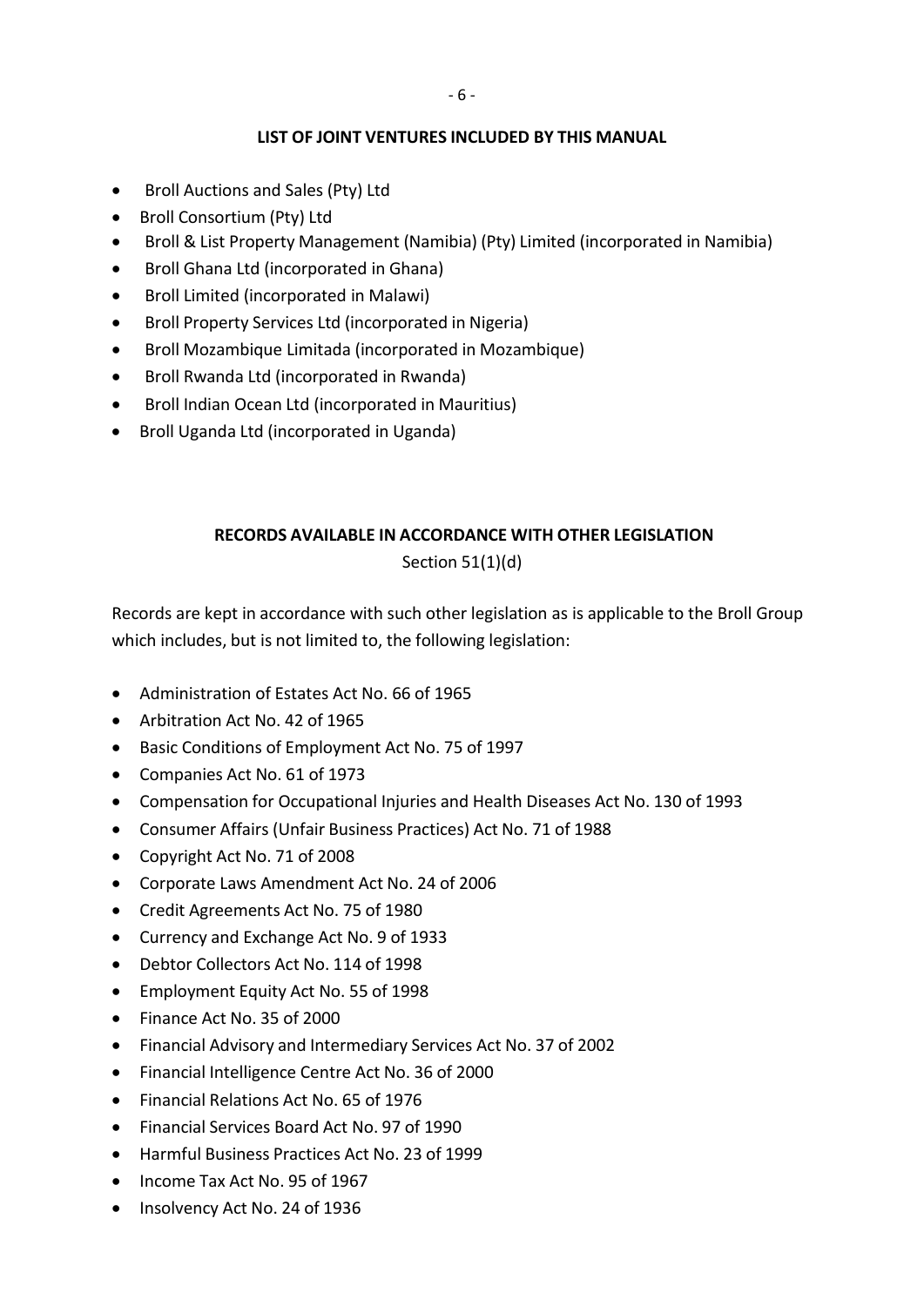#### **LIST OF JOINT VENTURES INCLUDED BY THIS MANUAL**

- Broll Auctions and Sales (Pty) Ltd
- Broll Consortium (Pty) Ltd
- Broll & List Property Management (Namibia) (Pty) Limited (incorporated in Namibia)
- Broll Ghana Ltd (incorporated in Ghana)
- Broll Limited (incorporated in Malawi)
- Broll Property Services Ltd (incorporated in Nigeria)
- Broll Mozambique Limitada (incorporated in Mozambique)
- Broll Rwanda Ltd (incorporated in Rwanda)
- Broll Indian Ocean Ltd (incorporated in Mauritius)
- Broll Uganda Ltd (incorporated in Uganda)

## **RECORDS AVAILABLE IN ACCORDANCE WITH OTHER LEGISLATION**

## Section 51(1)(d)

Records are kept in accordance with such other legislation as is applicable to the Broll Group which includes, but is not limited to, the following legislation:

- Administration of Estates Act No. 66 of 1965
- Arbitration Act No. 42 of 1965
- Basic Conditions of Employment Act No. 75 of 1997
- Companies Act No. 61 of 1973
- Compensation for Occupational Injuries and Health Diseases Act No. 130 of 1993
- Consumer Affairs (Unfair Business Practices) Act No. 71 of 1988
- Copyright Act No. 71 of 2008
- Corporate Laws Amendment Act No. 24 of 2006
- Credit Agreements Act No. 75 of 1980
- Currency and Exchange Act No. 9 of 1933
- Debtor Collectors Act No. 114 of 1998
- Employment Equity Act No. 55 of 1998
- Finance Act No. 35 of 2000
- Financial Advisory and Intermediary Services Act No. 37 of 2002
- Financial Intelligence Centre Act No. 36 of 2000
- Financial Relations Act No. 65 of 1976
- Financial Services Board Act No. 97 of 1990
- Harmful Business Practices Act No. 23 of 1999
- Income Tax Act No. 95 of 1967
- Insolvency Act No. 24 of 1936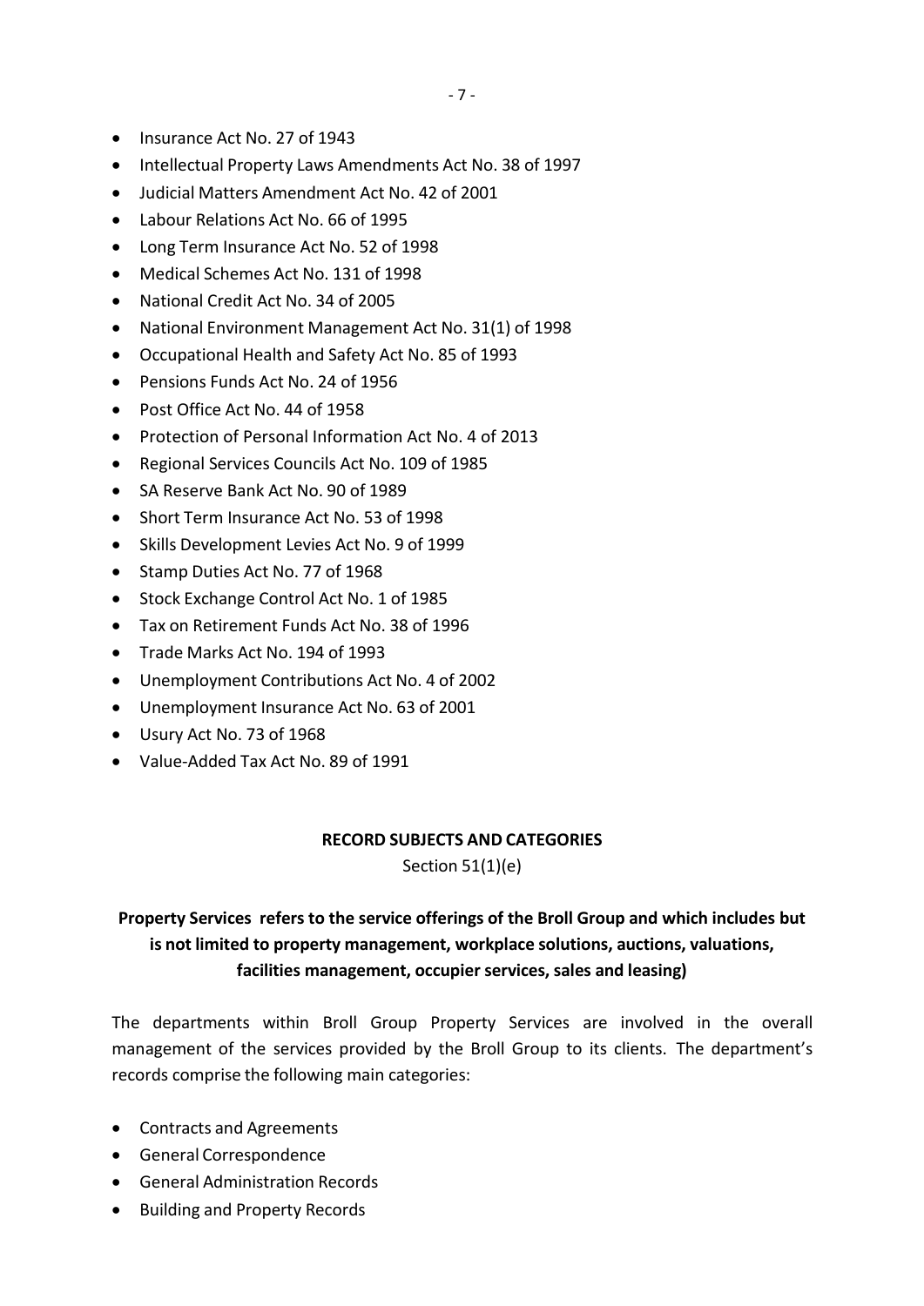- Insurance Act No. 27 of 1943
- Intellectual Property Laws Amendments Act No. 38 of 1997
- Judicial Matters Amendment Act No. 42 of 2001
- Labour Relations Act No. 66 of 1995
- Long Term Insurance Act No. 52 of 1998
- Medical Schemes Act No. 131 of 1998
- National Credit Act No. 34 of 2005
- National Environment Management Act No. 31(1) of 1998
- Occupational Health and Safety Act No. 85 of 1993
- Pensions Funds Act No. 24 of 1956
- Post Office Act No. 44 of 1958
- Protection of Personal Information Act No. 4 of 2013
- Regional Services Councils Act No. 109 of 1985
- SA Reserve Bank Act No. 90 of 1989
- Short Term Insurance Act No. 53 of 1998
- Skills Development Levies Act No. 9 of 1999
- Stamp Duties Act No. 77 of 1968
- Stock Exchange Control Act No. 1 of 1985
- Tax on Retirement Funds Act No. 38 of 1996
- Trade Marks Act No. 194 of 1993
- Unemployment Contributions Act No. 4 of 2002
- Unemployment Insurance Act No. 63 of 2001
- Usury Act No. 73 of 1968
- Value-Added Tax Act No. 89 of 1991

#### **RECORD SUBJECTS AND CATEGORIES**

Section 51(1)(e)

# **Property Services refers to the service offerings of the Broll Group and which includes but is not limited to property management, workplace solutions, auctions, valuations, facilities management, occupier services, sales and leasing)**

The departments within Broll Group Property Services are involved in the overall management of the services provided by the Broll Group to its clients. The department's records comprise the following main categories:

- Contracts and Agreements
- General Correspondence
- General Administration Records
- Building and Property Records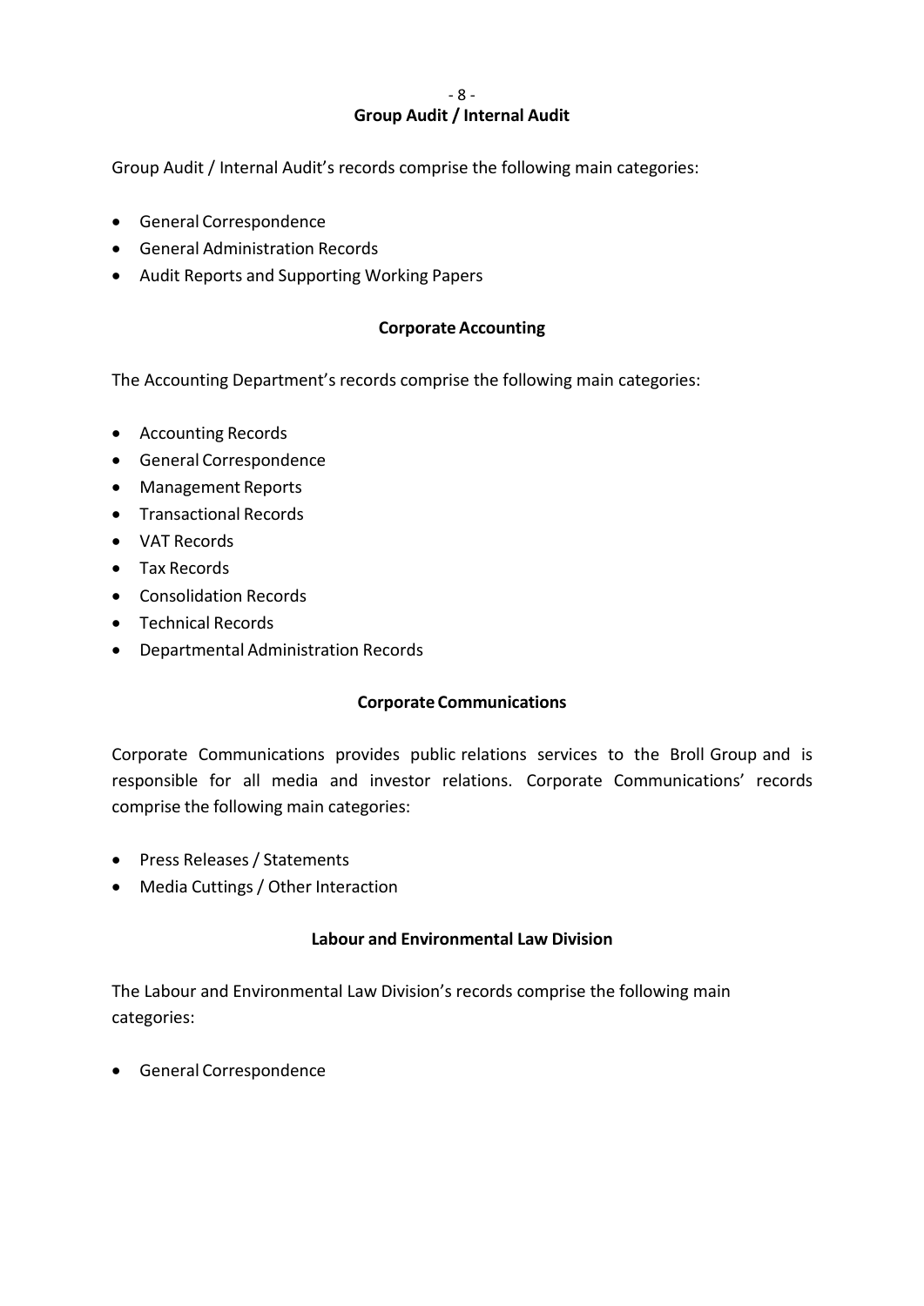#### **Group Audit / Internal Audit**

Group Audit / Internal Audit's records comprise the following main categories:

- General Correspondence
- General Administration Records
- Audit Reports and Supporting Working Papers

#### **Corporate Accounting**

The Accounting Department's records comprise the following main categories:

- Accounting Records
- General Correspondence
- Management Reports
- **•** Transactional Records
- VAT Records
- Tax Records
- Consolidation Records
- Technical Records
- Departmental Administration Records

#### **Corporate Communications**

Corporate Communications provides public relations services to the Broll Group and is responsible for all media and investor relations. Corporate Communications' records comprise the following main categories:

- Press Releases/ Statements
- Media Cuttings/ Other Interaction

#### **Labour and Environmental Law Division**

The Labour and Environmental Law Division's records comprise the following main categories:

General Correspondence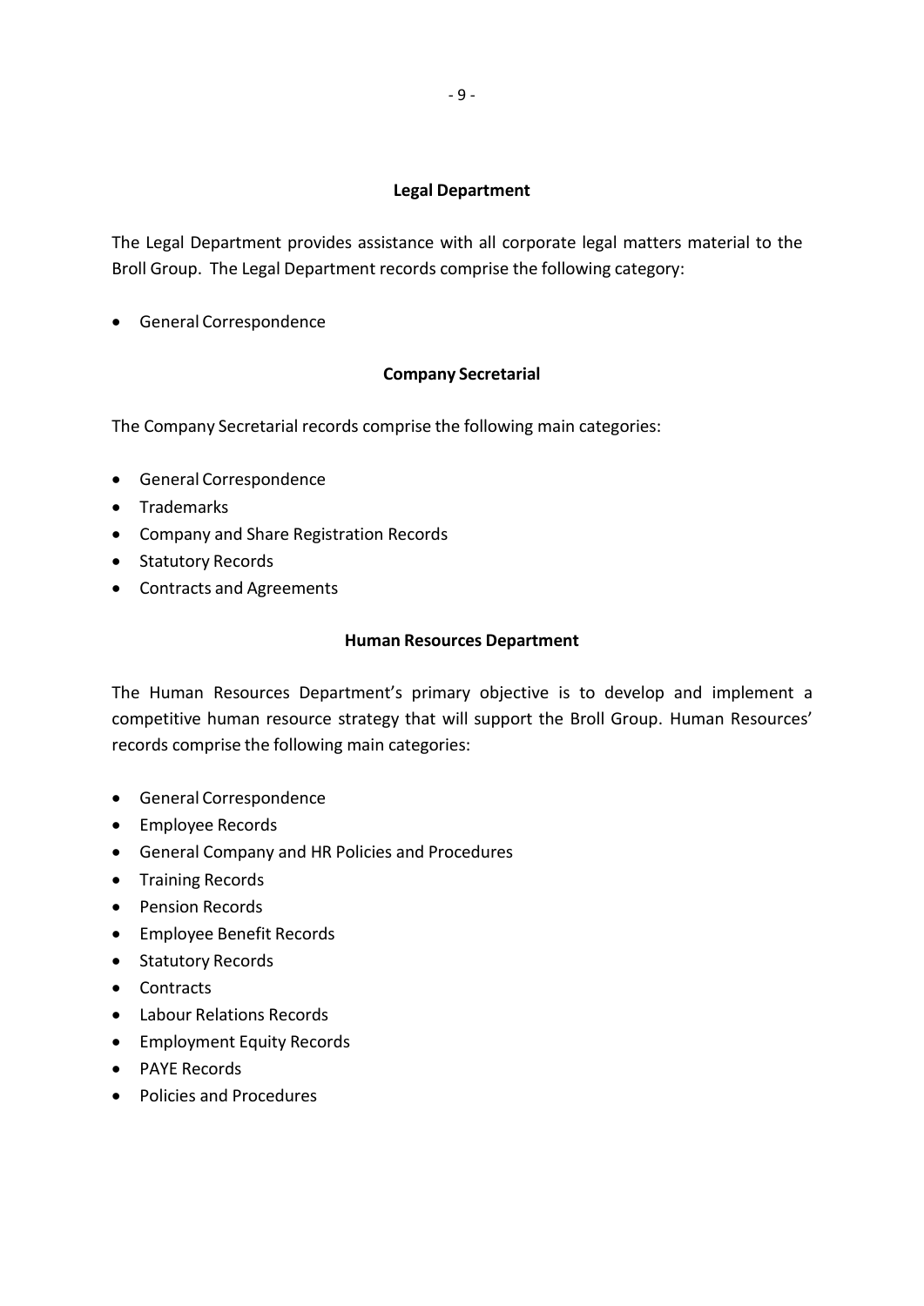#### **Legal Department**

The Legal Department provides assistance with all corporate legal matters material to the Broll Group. The Legal Department records comprise the following category:

General Correspondence

#### **Company Secretarial**

The Company Secretarial records comprise the following main categories:

- General Correspondence
- Trademarks
- Company and Share Registration Records
- Statutory Records
- Contracts and Agreements

#### **Human Resources Department**

The Human Resources Department's primary objective is to develop and implement a competitive human resource strategy that will support the Broll Group. Human Resources' records comprise the following main categories:

- General Correspondence
- Employee Records
- General Company and HR Policies and Procedures
- **•** Training Records
- Pension Records
- Employee Benefit Records
- Statutory Records
- Contracts
- Labour Relations Records
- **•** Employment Equity Records
- PAYE Records
- Policies and Procedures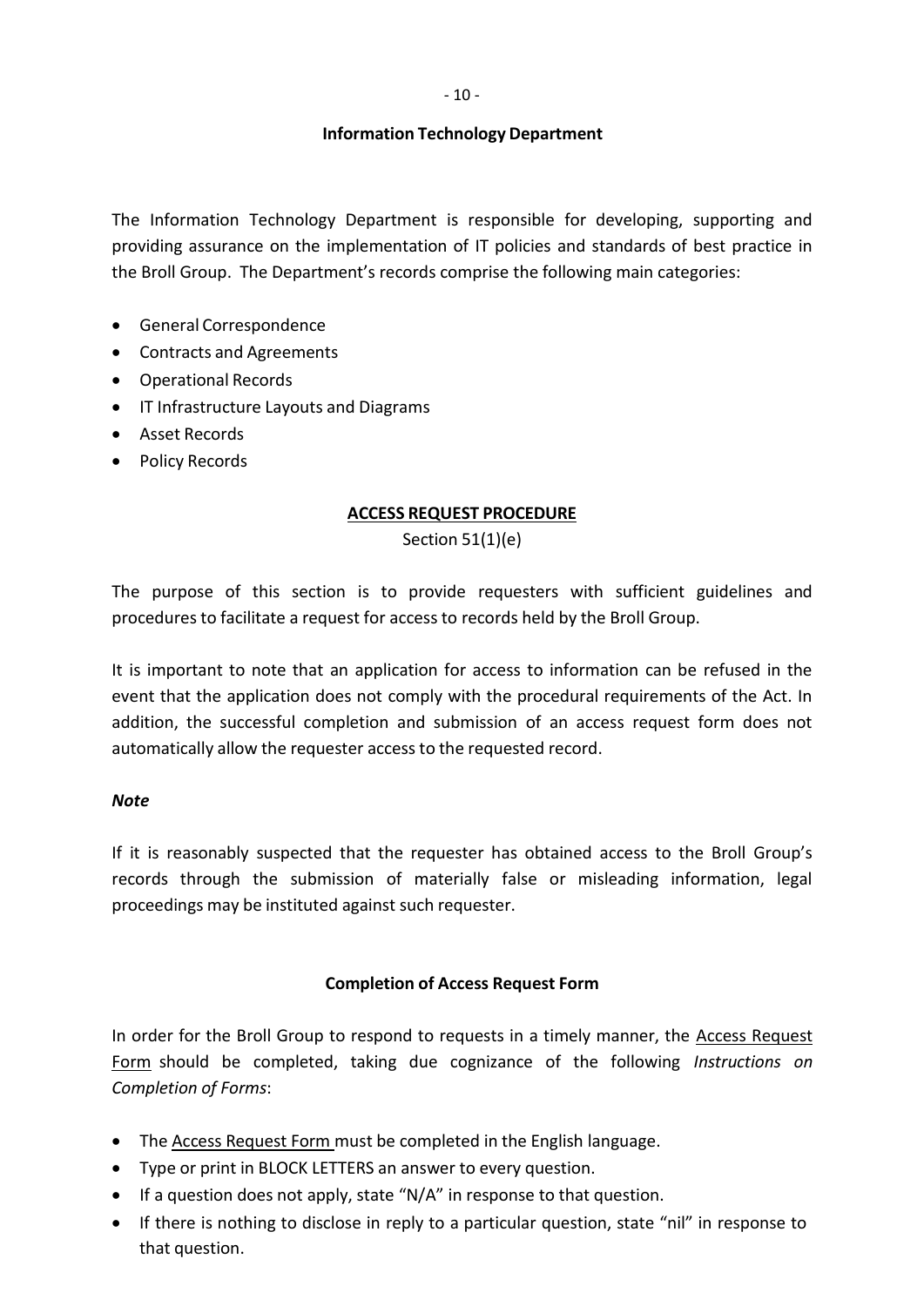- 10 -

#### **Information Technology Department**

The Information Technology Department is responsible for developing, supporting and providing assurance on the implementation of IT policies and standards of best practice in the Broll Group. The Department's records comprise the following main categories:

- General Correspondence
- Contracts and Agreements
- Operational Records
- IT Infrastructure Layouts and Diagrams
- Asset Records
- Policy Records

#### **ACCESS REQUEST PROCEDURE**

Section 51(1)(e)

The purpose of this section is to provide requesters with sufficient guidelines and procedures to facilitate a request for access to records held by the Broll Group.

It is important to note that an application for access to information can be refused in the event that the application does not comply with the procedural requirements of the Act. In addition, the successful completion and submission of an access request form does not automatically allow the requester access to the requested record.

#### *Note*

If it is reasonably suspected that the requester has obtained access to the Broll Group's records through the submission of materially false or misleading information, legal proceedings may be instituted against such requester.

#### **Completion of Access Request Form**

In order for the Broll Group to respond to requests in a timely manner, the Access Request Form should be completed, taking due cognizance of the following *Instructions on Completion of Forms*:

- The Access Request Form must be completed in the English language.
- Type or print in BLOCK LETTERS an answer to every question.
- If a question does not apply, state "N/A" in response to that question.
- If there is nothing to disclose in reply to a particular question, state "nil" in response to that question.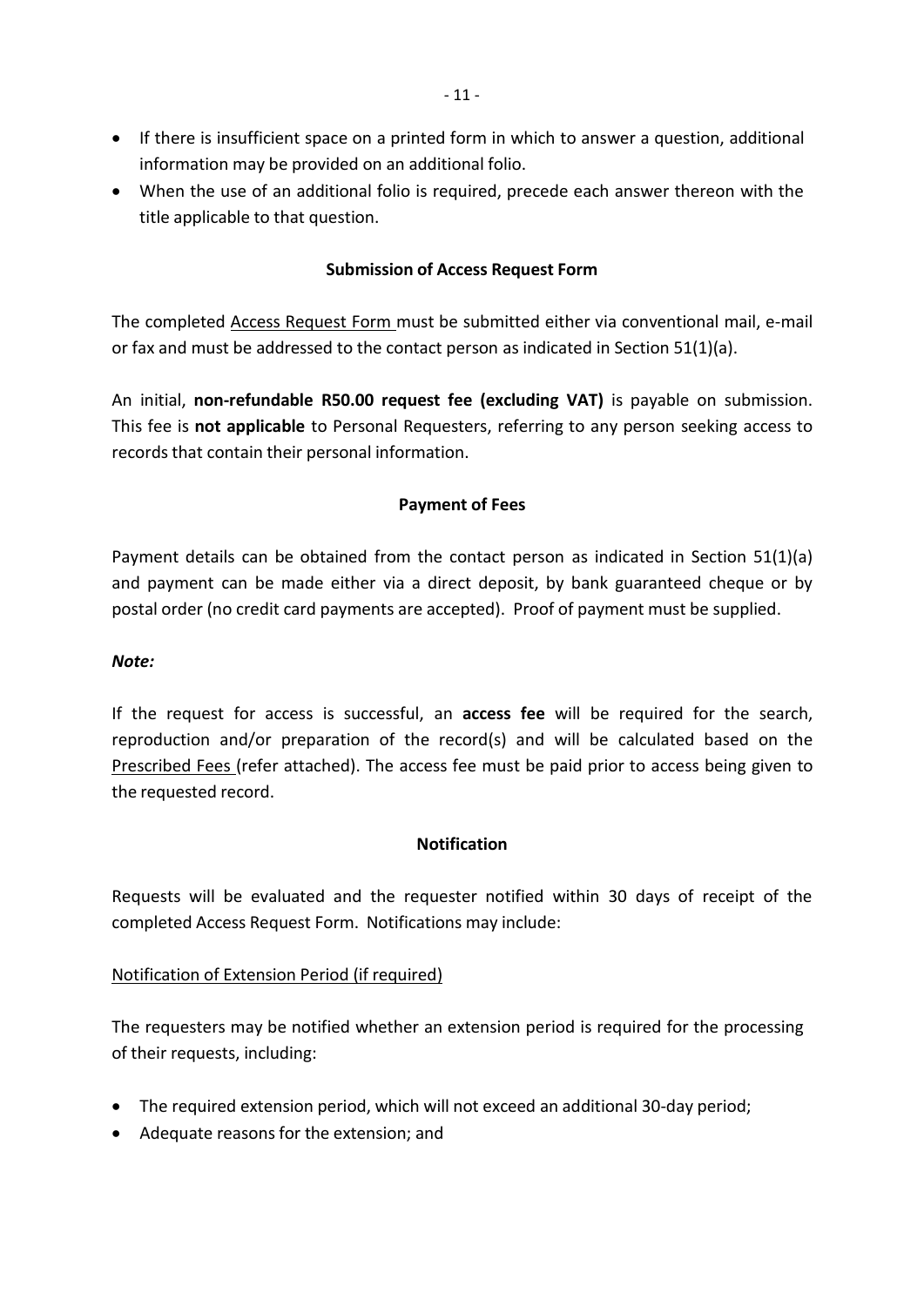- If there is insufficient space on a printed form in which to answer a question, additional information may be provided on an additional folio.
- When the use of an additional folio is required, precede each answer thereon with the title applicable to that question.

### **Submission of Access Request Form**

The completed Access Request Form must be submitted either via conventional mail, e-mail or fax and must be addressed to the contact person as indicated in Section 51(1)(a).

An initial, **non-refundable R50.00 request fee (excluding VAT)** is payable on submission. This fee is **not applicable** to Personal Requesters, referring to any person seeking access to records that contain their personal information.

## **Payment of Fees**

Payment details can be obtained from the contact person as indicated in Section 51(1)(a) and payment can be made either via a direct deposit, by bank guaranteed cheque or by postal order (no credit card payments are accepted). Proof of payment must be supplied.

#### *Note:*

If the request for access is successful, an **access fee** will be required for the search, reproduction and/or preparation of the record(s) and will be calculated based on the Prescribed Fees (refer attached). The access fee must be paid prior to access being given to the requested record.

## **Notification**

Requests will be evaluated and the requester notified within 30 days of receipt of the completed Access Request Form. Notifications may include:

## Notification of Extension Period (if required)

The requesters may be notified whether an extension period is required for the processing of their requests, including:

- The required extension period, which will not exceed an additional 30-day period;
- Adequate reasons for the extension; and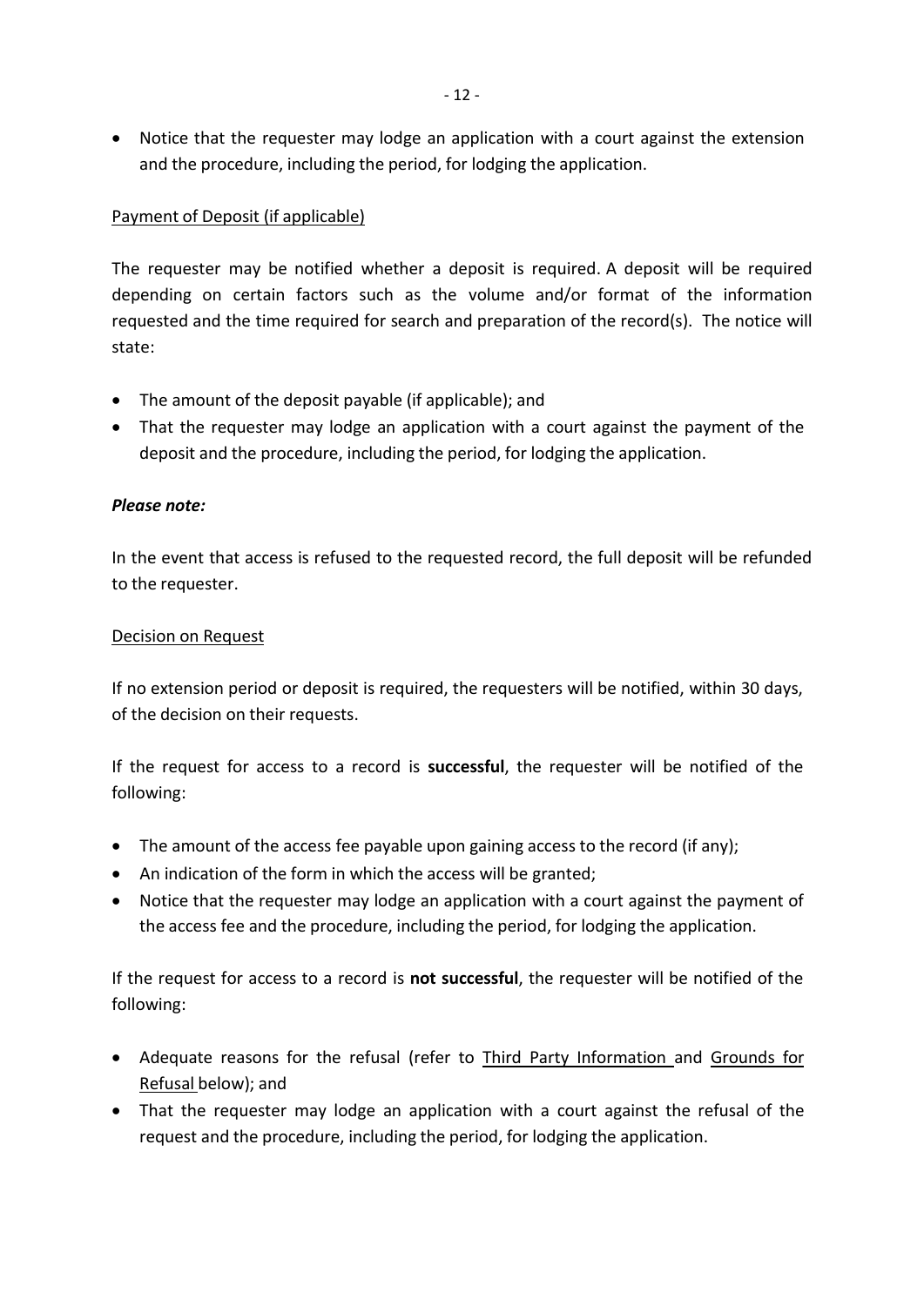Notice that the requester may lodge an application with a court against the extension and the procedure, including the period, for lodging the application.

## Payment of Deposit (if applicable)

The requester may be notified whether a deposit is required. A deposit will be required depending on certain factors such as the volume and/or format of the information requested and the time required for search and preparation of the record(s). The notice will state:

- The amount of the deposit payable (if applicable); and
- That the requester may lodge an application with a court against the payment of the deposit and the procedure, including the period, for lodging the application.

## *Please note:*

In the event that access is refused to the requested record, the full deposit will be refunded to the requester.

### Decision on Request

If no extension period or deposit is required, the requesters will be notified, within 30 days, of the decision on their requests.

If the request for access to a record is **successful**, the requester will be notified of the following:

- The amount of the access fee payable upon gaining access to the record (if any);
- An indication of the form in which the access will be granted;
- Notice that the requester may lodge an application with a court against the payment of the access fee and the procedure, including the period, for lodging the application.

If the request for access to a record is **not successful**, the requester will be notified of the following:

- Adequate reasons for the refusal (refer to Third Party Information and Grounds for Refusal below); and
- That the requester may lodge an application with a court against the refusal of the request and the procedure, including the period, for lodging the application.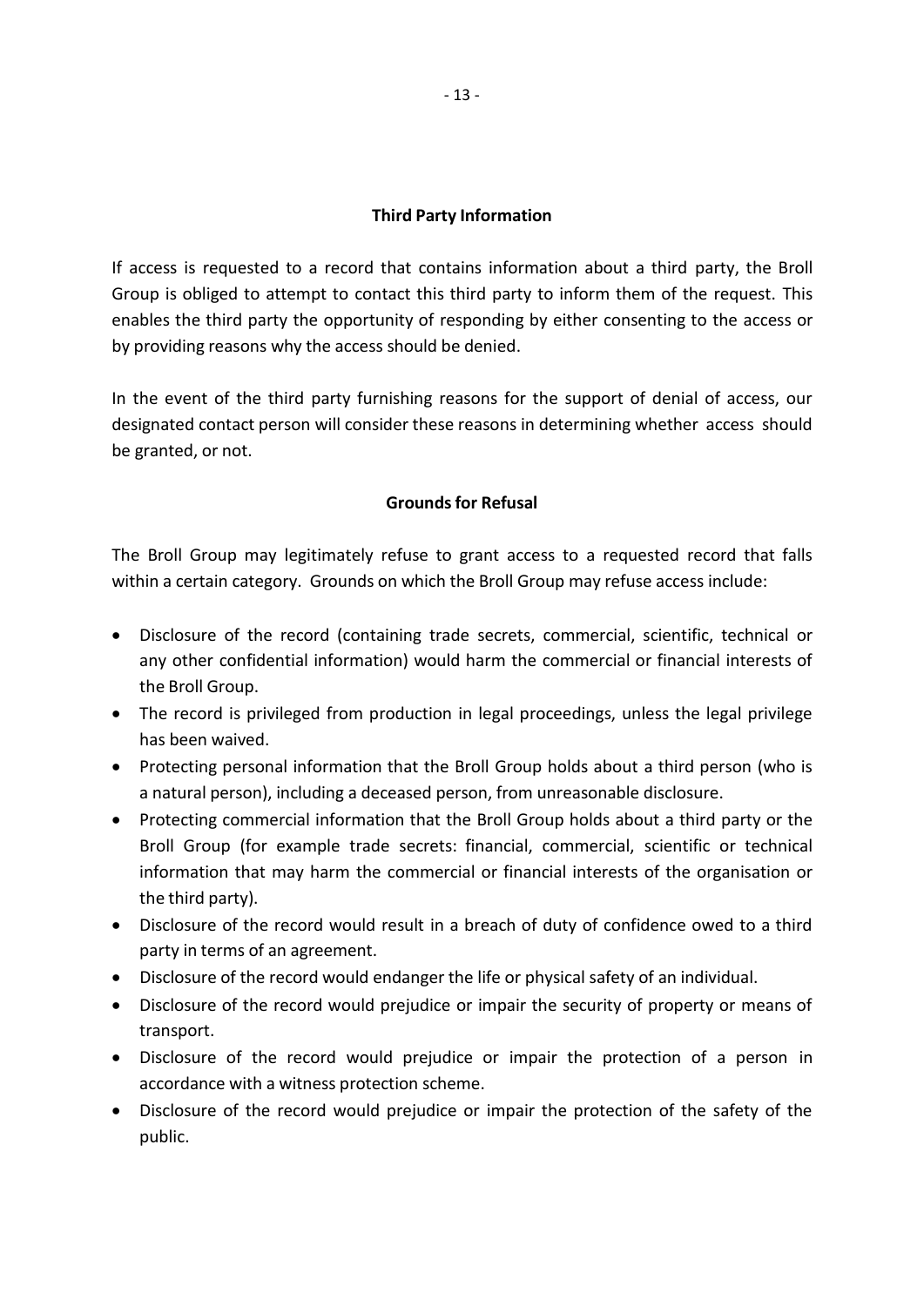## **Third Party Information**

If access is requested to a record that contains information about a third party, the Broll Group is obliged to attempt to contact this third party to inform them of the request. This enables the third party the opportunity of responding by either consenting to the access or by providing reasons why the access should be denied.

In the event of the third party furnishing reasons for the support of denial of access, our designated contact person will consider these reasons in determining whether access should be granted, or not.

### **Groundsfor Refusal**

The Broll Group may legitimately refuse to grant access to a requested record that falls within a certain category. Grounds on which the Broll Group may refuse access include:

- Disclosure of the record (containing trade secrets, commercial, scientific, technical or any other confidential information) would harm the commercial or financial interests of the Broll Group.
- The record is privileged from production in legal proceedings, unless the legal privilege has been waived.
- Protecting personal information that the Broll Group holds about a third person (who is a natural person), including a deceased person, from unreasonable disclosure.
- Protecting commercial information that the Broll Group holds about a third party or the Broll Group (for example trade secrets: financial, commercial, scientific or technical information that may harm the commercial or financial interests of the organisation or the third party).
- Disclosure of the record would result in a breach of duty of confidence owed to a third party in terms of an agreement.
- Disclosure of the record would endanger the life or physical safety of an individual.
- Disclosure of the record would prejudice or impair the security of property or means of transport.
- Disclosure of the record would prejudice or impair the protection of a person in accordance with a witness protection scheme.
- Disclosure of the record would prejudice or impair the protection of the safety of the public.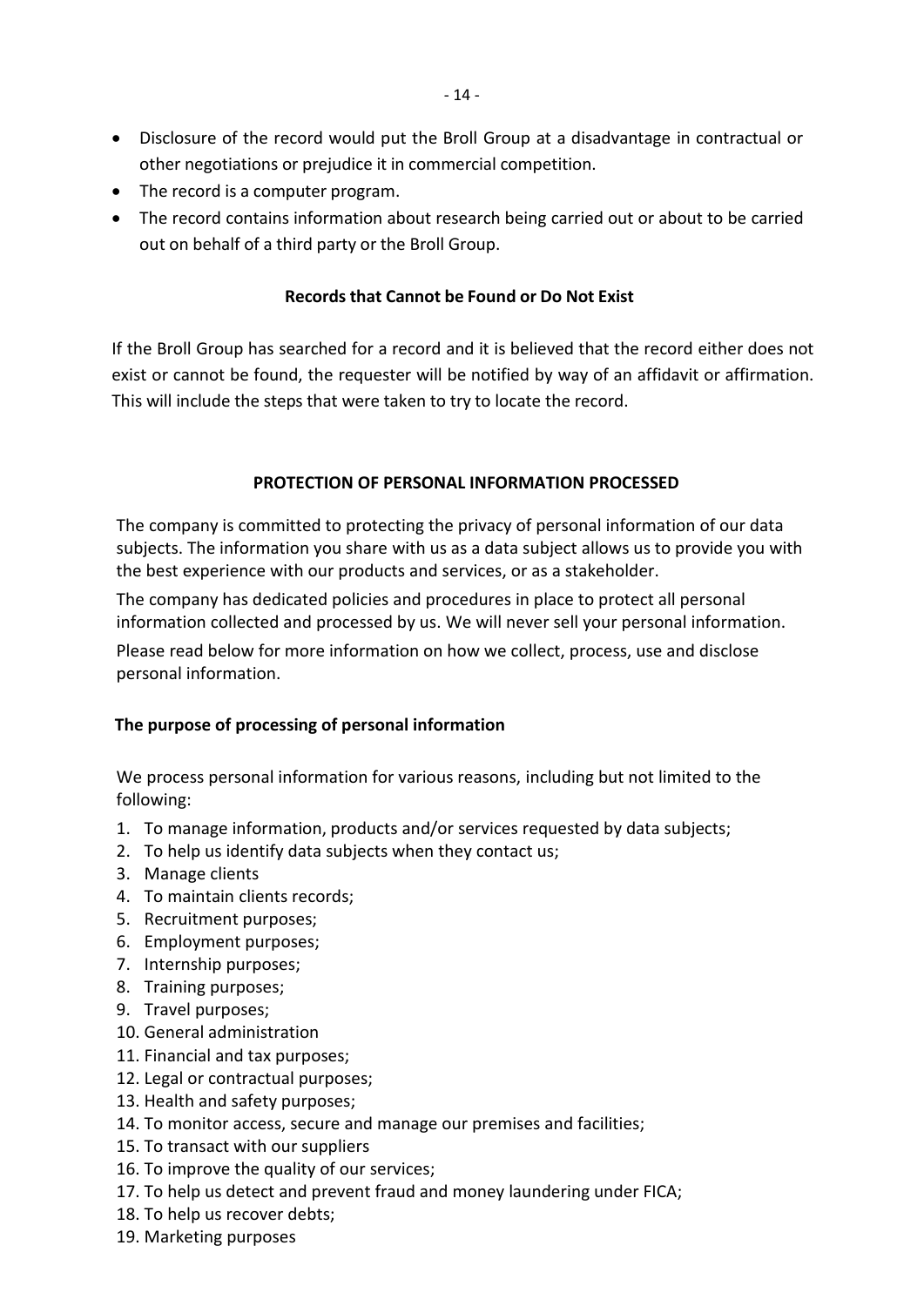- Disclosure of the record would put the Broll Group at a disadvantage in contractual or other negotiations or prejudice it in commercial competition.
- The record is a computer program.
- The record contains information about research being carried out or about to be carried out on behalf of a third party or the Broll Group.

## **Records that Cannot be Found or Do Not Exist**

If the Broll Group has searched for a record and it is believed that the record either does not exist or cannot be found, the requester will be notified by way of an affidavit or affirmation. This will include the steps that were taken to try to locate the record.

### **PROTECTION OF PERSONAL INFORMATION PROCESSED**

The company is committed to protecting the privacy of personal information of our data subjects. The information you share with us as a data subject allows us to provide you with the best experience with our products and services, or as a stakeholder.

The company has dedicated policies and procedures in place to protect all personal information collected and processed by us. We will never sell your personal information.

Please read below for more information on how we collect, process, use and disclose personal information.

## **The purpose of processing of personal information**

We process personal information for various reasons, including but not limited to the following:

- 1. To manage information, products and/or services requested by data subjects;
- 2. To help us identify data subjects when they contact us;
- 3. Manage clients
- 4. To maintain clients records;
- 5. Recruitment purposes;
- 6. Employment purposes;
- 7. Internship purposes;
- 8. Training purposes;
- 9. Travel purposes;
- 10. General administration
- 11. Financial and tax purposes;
- 12. Legal or contractual purposes;
- 13. Health and safety purposes;
- 14. To monitor access, secure and manage our premises and facilities;
- 15. To transact with our suppliers
- 16. To improve the quality of our services;
- 17. To help us detect and prevent fraud and money laundering under FICA;
- 18. To help us recover debts;
- 19. Marketing purposes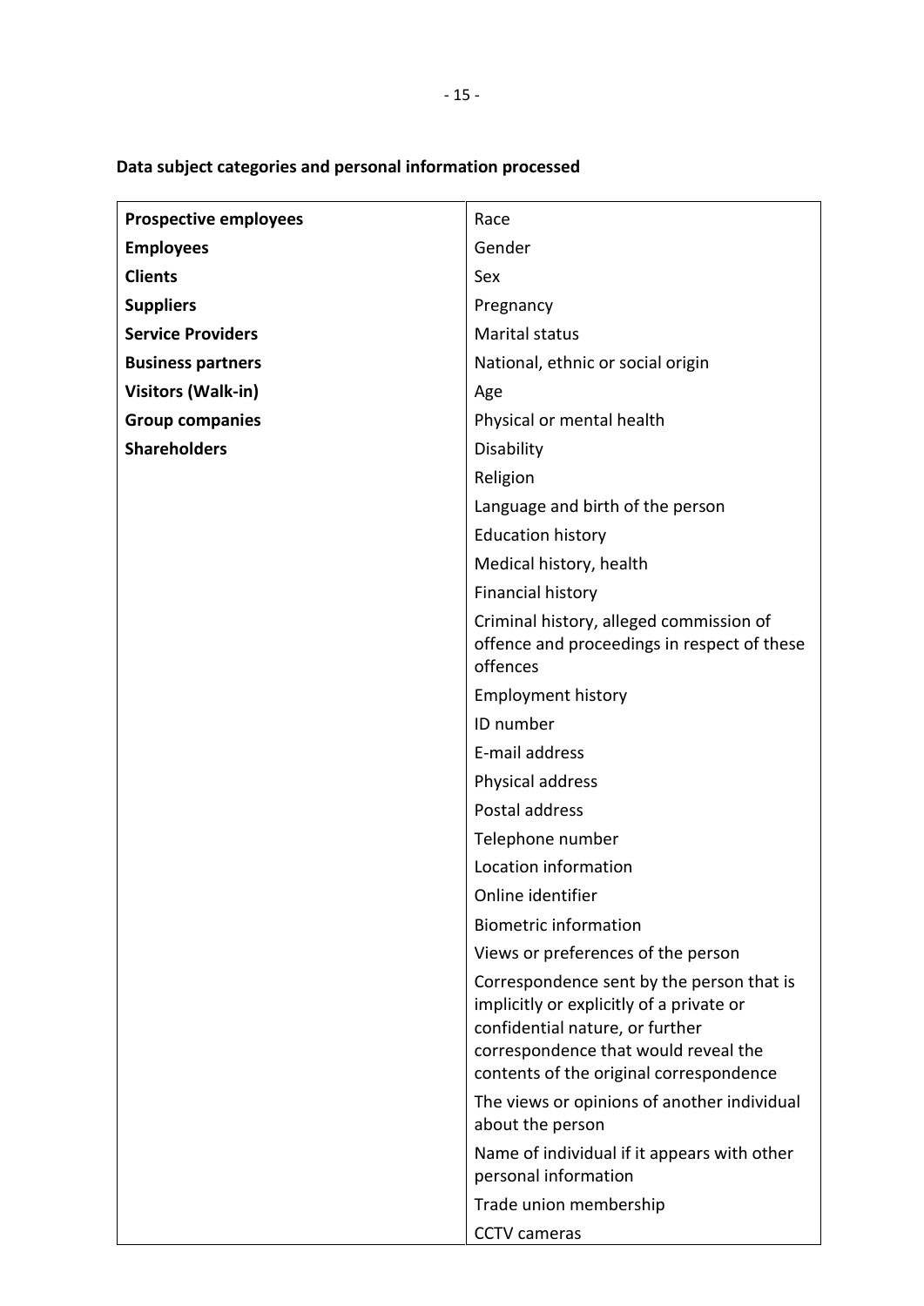| <b>Prospective employees</b> | Race                                                                                                                                                                                                        |
|------------------------------|-------------------------------------------------------------------------------------------------------------------------------------------------------------------------------------------------------------|
| <b>Employees</b>             | Gender                                                                                                                                                                                                      |
| <b>Clients</b>               | Sex                                                                                                                                                                                                         |
| <b>Suppliers</b>             | Pregnancy                                                                                                                                                                                                   |
| <b>Service Providers</b>     | <b>Marital status</b>                                                                                                                                                                                       |
| <b>Business partners</b>     | National, ethnic or social origin                                                                                                                                                                           |
| <b>Visitors (Walk-in)</b>    | Age                                                                                                                                                                                                         |
| <b>Group companies</b>       | Physical or mental health                                                                                                                                                                                   |
| <b>Shareholders</b>          | Disability                                                                                                                                                                                                  |
|                              | Religion                                                                                                                                                                                                    |
|                              | Language and birth of the person                                                                                                                                                                            |
|                              | <b>Education history</b>                                                                                                                                                                                    |
|                              | Medical history, health                                                                                                                                                                                     |
|                              | <b>Financial history</b>                                                                                                                                                                                    |
|                              | Criminal history, alleged commission of<br>offence and proceedings in respect of these<br>offences                                                                                                          |
|                              | <b>Employment history</b>                                                                                                                                                                                   |
|                              | ID number                                                                                                                                                                                                   |
|                              | E-mail address                                                                                                                                                                                              |
|                              | Physical address                                                                                                                                                                                            |
|                              | Postal address                                                                                                                                                                                              |
|                              | Telephone number                                                                                                                                                                                            |
|                              | Location information                                                                                                                                                                                        |
|                              | Online identifier                                                                                                                                                                                           |
|                              | <b>Biometric information</b>                                                                                                                                                                                |
|                              | Views or preferences of the person                                                                                                                                                                          |
|                              | Correspondence sent by the person that is<br>implicitly or explicitly of a private or<br>confidential nature, or further<br>correspondence that would reveal the<br>contents of the original correspondence |
|                              | The views or opinions of another individual<br>about the person                                                                                                                                             |
|                              | Name of individual if it appears with other<br>personal information                                                                                                                                         |
|                              | Trade union membership                                                                                                                                                                                      |
|                              | <b>CCTV</b> cameras                                                                                                                                                                                         |

# **Data subject categories and personal information processed**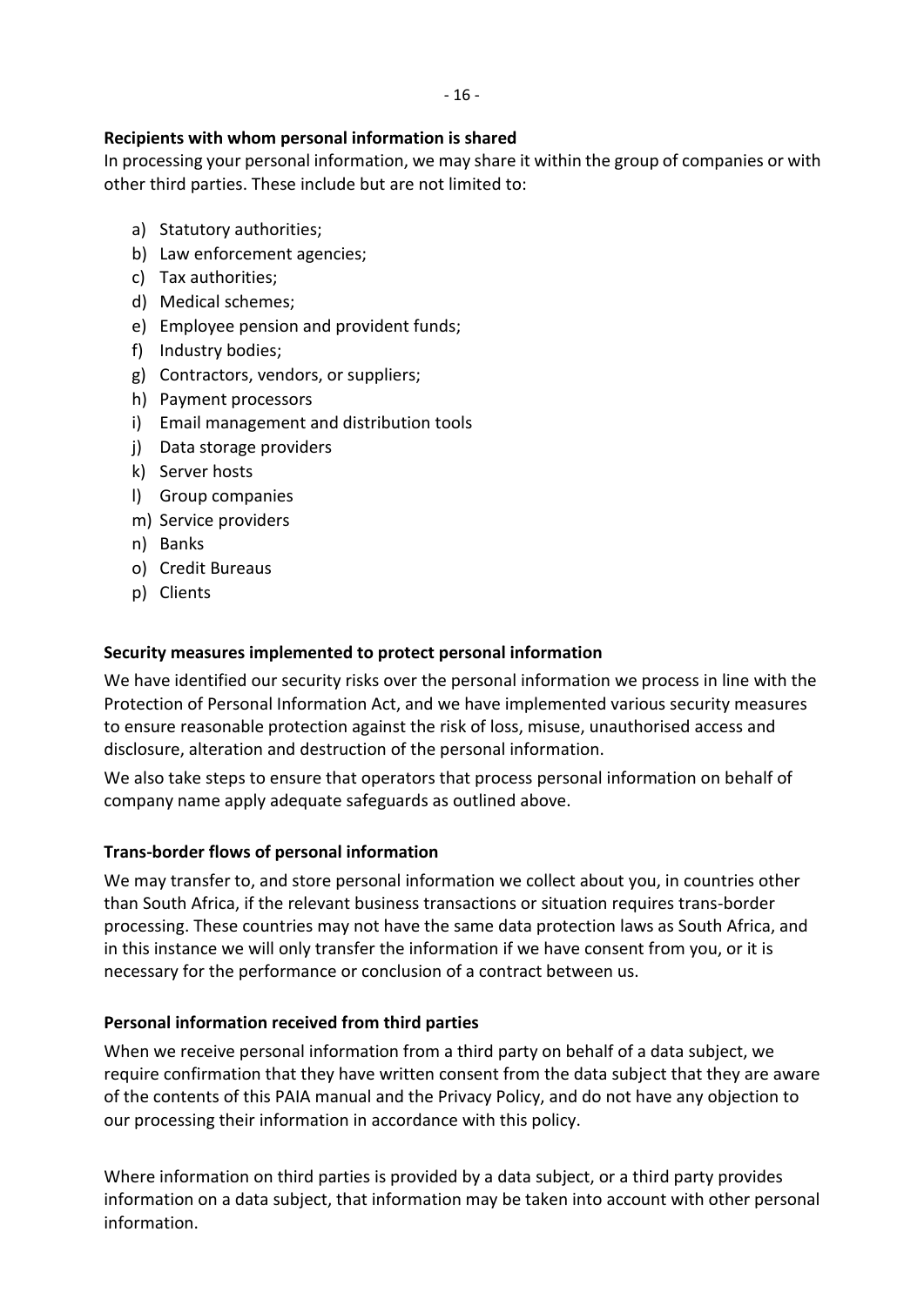## **Recipients with whom personal information is shared**

In processing your personal information, we may share it within the group of companies or with other third parties. These include but are not limited to:

- a) Statutory authorities;
- b) Law enforcement agencies;
- c) Tax authorities;
- d) Medical schemes;
- e) Employee pension and provident funds;
- f) Industry bodies;
- g) Contractors, vendors, or suppliers;
- h) Payment processors
- i) Email management and distribution tools
- j) Data storage providers
- k) Server hosts
- l) Group companies
- m) Service providers
- n) Banks
- o) Credit Bureaus
- p) Clients

#### **Security measures implemented to protect personal information**

We have identified our security risks over the personal information we process in line with the Protection of Personal Information Act, and we have implemented various security measures to ensure reasonable protection against the risk of loss, misuse, unauthorised access and disclosure, alteration and destruction of the personal information.

We also take steps to ensure that operators that process personal information on behalf of company name apply adequate safeguards as outlined above.

#### **Trans-border flows of personal information**

We may transfer to, and store personal information we collect about you, in countries other than South Africa, if the relevant business transactions or situation requires trans-border processing. These countries may not have the same data protection laws as South Africa, and in this instance we will only transfer the information if we have consent from you, or it is necessary for the performance or conclusion of a contract between us.

#### **Personal information received from third parties**

When we receive personal information from a third party on behalf of a data subject, we require confirmation that they have written consent from the data subject that they are aware of the contents of this PAIA manual and the Privacy Policy, and do not have any objection to our processing their information in accordance with this policy.

Where information on third parties is provided by a data subject, or a third party provides information on a data subject, that information may be taken into account with other personal information.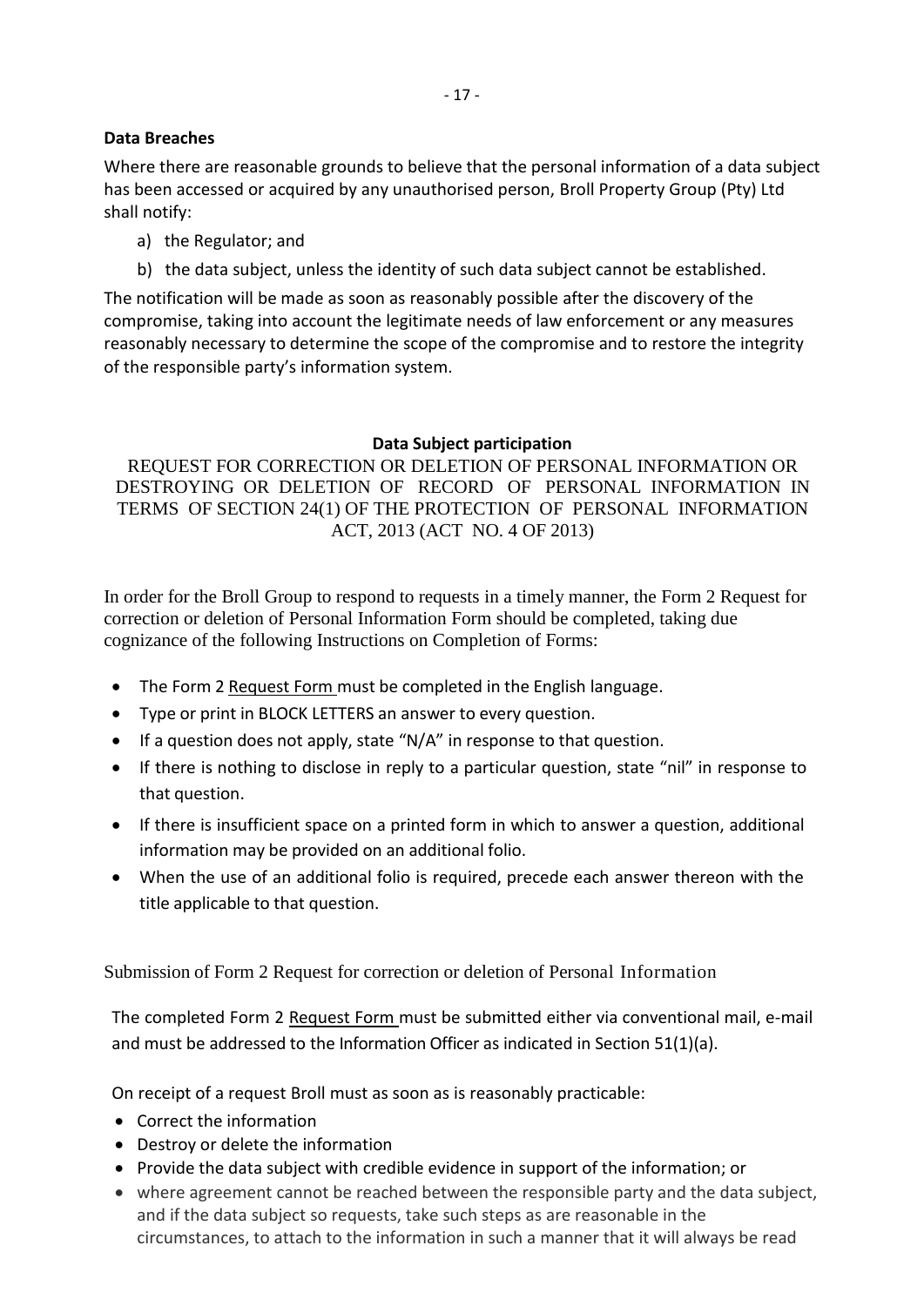## **Data Breaches**

Where there are reasonable grounds to believe that the personal information of a data subject has been accessed or acquired by any unauthorised person, Broll Property Group (Pty) Ltd shall notify:

- a) the Regulator; and
- b) the data subject, unless the identity of such data subject cannot be established.

The notification will be made as soon as reasonably possible after the discovery of the compromise, taking into account the legitimate needs of law enforcement or any measures reasonably necessary to determine the scope of the compromise and to restore the integrity of the responsible party's information system.

## **Data Subject participation**

REQUEST FOR CORRECTION OR DELETION OF PERSONAL INFORMATION OR DESTROYING OR DELETION OF RECORD OF PERSONAL INFORMATION IN TERMS OF SECTION 24(1) OF THE PROTECTION OF PERSONAL INFORMATION ACT, 2013 (ACT NO. 4 OF 2013)

In order for the Broll Group to respond to requests in a timely manner, the Form 2 Request for correction or deletion of Personal Information Form should be completed, taking due cognizance of the following Instructions on Completion of Forms:

- The Form 2 Request Form must be completed in the English language.
- Type or print in BLOCK LETTERS an answer to every question.
- If a question does not apply, state "N/A" in response to that question.
- If there is nothing to disclose in reply to a particular question, state "nil" in response to that question.
- If there is insufficient space on a printed form in which to answer a question, additional information may be provided on an additional folio.
- When the use of an additional folio is required, precede each answer thereon with the title applicable to that question.

Submission of Form 2 Request for correction or deletion of Personal Information

The completed Form 2 Request Form must be submitted either via conventional mail, e-mail and must be addressed to the Information Officer as indicated in Section 51(1)(a).

On receipt of a request Broll must as soon as is reasonably practicable:

- Correct the information
- Destroy or delete the information
- Provide the data subject with credible evidence in support of the information; or
- where agreement cannot be reached between the responsible party and the data subject, and if the data subject so requests, take such steps as are reasonable in the circumstances, to attach to the information in such a manner that it will always be read